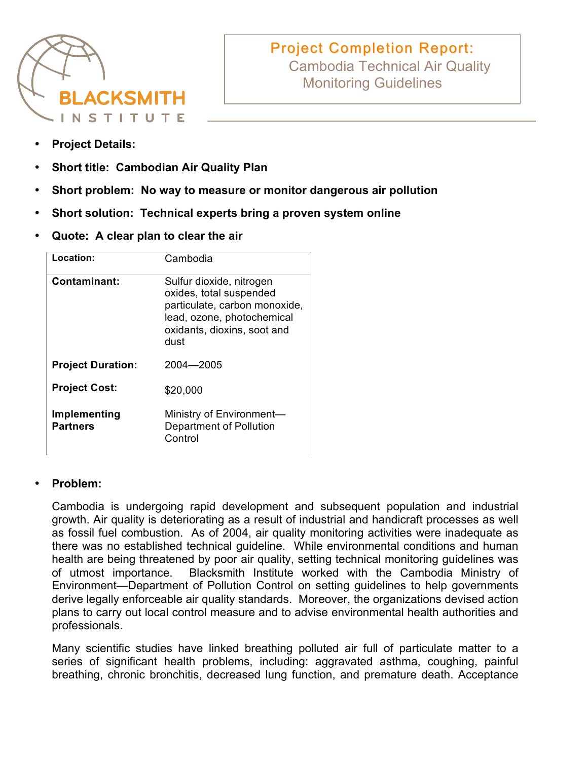

# **Project Completion Report:** Cambodia Technical Air Quality Monitoring Guidelines

- **Project Details:**
- **Short title: Cambodian Air Quality Plan**
- **Short problem: No way to measure or monitor dangerous air pollution**
- **Short solution: Technical experts bring a proven system online**
- **Quote: A clear plan to clear the air**

| Location:                       | Cambodia                                                                                                                                                  |
|---------------------------------|-----------------------------------------------------------------------------------------------------------------------------------------------------------|
| Contaminant:                    | Sulfur dioxide, nitrogen<br>oxides, total suspended<br>particulate, carbon monoxide,<br>lead, ozone, photochemical<br>oxidants, dioxins, soot and<br>dust |
| <b>Project Duration:</b>        | 2004-2005                                                                                                                                                 |
| <b>Project Cost:</b>            | \$20,000                                                                                                                                                  |
| Implementing<br><b>Partners</b> | Ministry of Environment-<br>Department of Pollution<br>Control                                                                                            |

## • **Problem:**

Cambodia is undergoing rapid development and subsequent population and industrial growth. Air quality is deteriorating as a result of industrial and handicraft processes as well as fossil fuel combustion. As of 2004, air quality monitoring activities were inadequate as there was no established technical guideline. While environmental conditions and human health are being threatened by poor air quality, setting technical monitoring guidelines was of utmost importance. Blacksmith Institute worked with the Cambodia Ministry of Environment—Department of Pollution Control on setting guidelines to help governments derive legally enforceable air quality standards. Moreover, the organizations devised action plans to carry out local control measure and to advise environmental health authorities and professionals.

Many scientific studies have linked breathing polluted air full of particulate matter to a series of significant health problems, including: aggravated asthma, coughing, painful breathing, chronic bronchitis, decreased lung function, and premature death. Acceptance